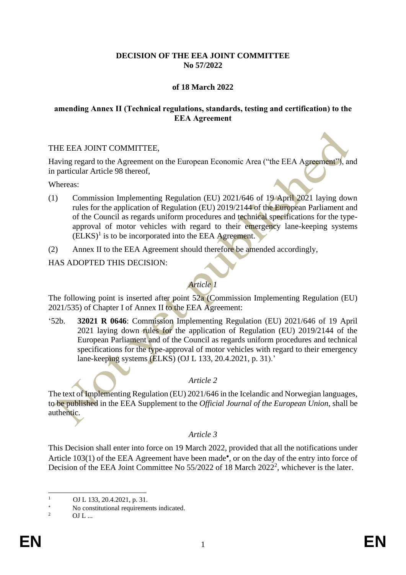# **DECISION OF THE EEA JOINT COMMITTEE No 57/2022**

# **of 18 March 2022**

## **amending Annex II (Technical regulations, standards, testing and certification) to the EEA Agreement**

## THE EEA JOINT COMMITTEE,

Having regard to the Agreement on the European Economic Area ("the EEA Agreement"), and in particular Article 98 thereof,

Whereas:

- (1) Commission Implementing Regulation (EU) 2021/646 of 19 April 2021 laying down rules for the application of Regulation (EU) 2019/2144 of the European Parliament and of the Council as regards uniform procedures and technical specifications for the typeapproval of motor vehicles with regard to their emergency lane-keeping systems  $(ELKS)^{1}$  is to be incorporated into the EEA Agreement.
- (2) Annex II to the EEA Agreement should therefore be amended accordingly,

#### HAS ADOPTED THIS DECISION:

# *Article 1*

The following point is inserted after point 52a (Commission Implementing Regulation (EU) 2021/535) of Chapter I of Annex II to the EEA Agreement:

'52b. **32021 R 0646**: Commission Implementing Regulation (EU) 2021/646 of 19 April 2021 laying down rules for the application of Regulation (EU) 2019/2144 of the European Parliament and of the Council as regards uniform procedures and technical specifications for the type-approval of motor vehicles with regard to their emergency lane-keeping systems (ELKS) (OJ L 133, 20.4.2021, p. 31).'

## *Article 2*

The text of Implementing Regulation (EU) 2021/646 in the Icelandic and Norwegian languages, to be published in the EEA Supplement to the *Official Journal of the European Union*, shall be authentic.

## *Article 3*

This Decision shall enter into force on 19 March 2022, provided that all the notifications under Article 103(1) of the EEA Agreement have been made\*, or on the day of the entry into force of Decision of the EEA Joint Committee No 55/2022 of 18 March 2022<sup>2</sup>, whichever is the later.

 $1 \qquad \text{OJ L } 133, 20.4.2021, \text{p. } 31.$ 

<sup>\*</sup> No constitutional requirements indicated.

 $OL$  ...